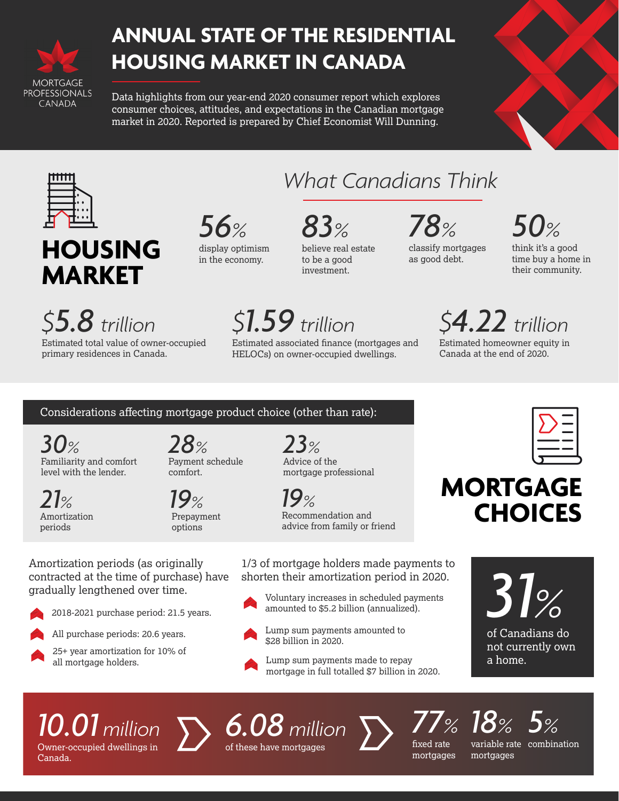

### **ANNUAL STATE OF THE RESIDENTIAL HOUSING MARKET IN CANADA**

Data highlights from our year-end 2020 consumer report which explores consumer choices, attitudes, and expectations in the Canadian mortgage market in 2020. Reported is prepared by Chief Economist Will Dunning.



## **HOUSING MARKET**

*\$5.8 trillion*

Estimated total value of owner-occupied primary residences in Canada.

## *56%*

display optimism in the economy.

#### *83%* believe real estate

*What Canadians Think*

to be a good investment.

*\$1.59 trillion*

Estimated associated finance (mortgages and HELOCs) on owner-occupied dwellings.

#### *78%* classify mortgages

as good debt.

*50%*

think it's a good time buy a home in their community.

# *\$4.22 trillion*

Estimated homeowner equity in Canada at the end of 2020.

#### Considerations affecting mortgage product choice (other than rate):

*30%* Familiarity and comfort level with the lender.

*28%* Payment schedule comfort.

> *19%* Prepayment options

*23%* Advice of the mortgage professional

### **MORTGAGE CHOICES**

Amortization periods (as originally contracted at the time of purchase) have gradually lengthened over time.



- 2018-2021 purchase period: 21.5 years.
- All purchase periods: 20.6 years.



*21%* Amortization periods

> 25+ year amortization for 10% of all mortgage holders.

*19%* Recommendation and advice from family or friend

> 1/3 of mortgage holders made payments to shorten their amortization period in 2020.

Voluntary increases in scheduled payments amounted to \$5.2 billion (annualized).



- Lump sum payments amounted to \$28 billion in 2020.
- Lump sum payments made to repay mortgage in full totalled \$7 billion in 2020.



of Canadians do not currently own a home.

# *10.01 million*

Owner-occupied dwellings in Canada.



*6.08 million* of these have mortgages



*77%* fixed rate mortgages

*5%* variable rate combination *18%* mortgages